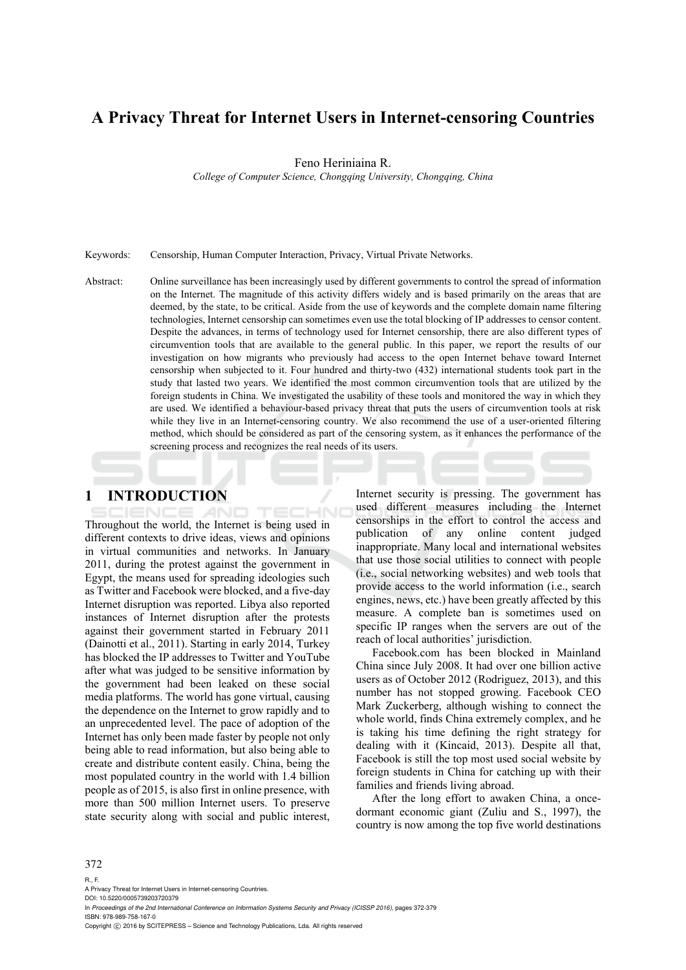# **A Privacy Threat for Internet Users in Internet-censoring Countries**

Feno Heriniaina R.

*College of Computer Science, Chongqing University, Chongqing, China* 

Keywords: Censorship, Human Computer Interaction, Privacy, Virtual Private Networks.

Abstract: Online surveillance has been increasingly used by different governments to control the spread of information on the Internet. The magnitude of this activity differs widely and is based primarily on the areas that are deemed, by the state, to be critical. Aside from the use of keywords and the complete domain name filtering technologies, Internet censorship can sometimes even use the total blocking of IP addresses to censor content. Despite the advances, in terms of technology used for Internet censorship, there are also different types of circumvention tools that are available to the general public. In this paper, we report the results of our investigation on how migrants who previously had access to the open Internet behave toward Internet censorship when subjected to it. Four hundred and thirty-two (432) international students took part in the study that lasted two years. We identified the most common circumvention tools that are utilized by the foreign students in China. We investigated the usability of these tools and monitored the way in which they are used. We identified a behaviour-based privacy threat that puts the users of circumvention tools at risk while they live in an Internet-censoring country. We also recommend the use of a user-oriented filtering method, which should be considered as part of the censoring system, as it enhances the performance of the screening process and recognizes the real needs of its users.

### **1 INTRODUCTION**

Throughout the world, the Internet is being used in different contexts to drive ideas, views and opinions in virtual communities and networks. In January 2011, during the protest against the government in Egypt, the means used for spreading ideologies such as Twitter and Facebook were blocked, and a five-day Internet disruption was reported. Libya also reported instances of Internet disruption after the protests against their government started in February 2011 (Dainotti et al., 2011). Starting in early 2014, Turkey has blocked the IP addresses to Twitter and YouTube after what was judged to be sensitive information by the government had been leaked on these social media platforms. The world has gone virtual, causing the dependence on the Internet to grow rapidly and to an unprecedented level. The pace of adoption of the Internet has only been made faster by people not only being able to read information, but also being able to create and distribute content easily. China, being the most populated country in the world with 1.4 billion people as of 2015, is also first in online presence, with more than 500 million Internet users. To preserve state security along with social and public interest, Internet security is pressing. The government has used different measures including the Internet censorships in the effort to control the access and publication of any online content judged inappropriate. Many local and international websites that use those social utilities to connect with people (i.e., social networking websites) and web tools that provide access to the world information (i.e., search engines, news, etc.) have been greatly affected by this measure. A complete ban is sometimes used on specific IP ranges when the servers are out of the reach of local authorities' jurisdiction.

Facebook.com has been blocked in Mainland China since July 2008. It had over one billion active users as of October 2012 (Rodriguez, 2013), and this number has not stopped growing. Facebook CEO Mark Zuckerberg, although wishing to connect the whole world, finds China extremely complex, and he is taking his time defining the right strategy for dealing with it (Kincaid, 2013). Despite all that, Facebook is still the top most used social website by foreign students in China for catching up with their families and friends living abroad.

After the long effort to awaken China, a oncedormant economic giant (Zuliu and S., 1997), the country is now among the top five world destinations

#### 372

#### R., F.

A Privacy Threat for Internet Users in Internet-censoring Countries.

DOI: 10.5220/0005739203720379 In *Proceedings of the 2nd International Conference on Information Systems Security and Privacy (ICISSP 2016)*, pages 372-379 ISBN: 978-989-758-167-0

Copyright © 2016 by SCITEPRESS - Science and Technology Publications, Lda. All rights reserved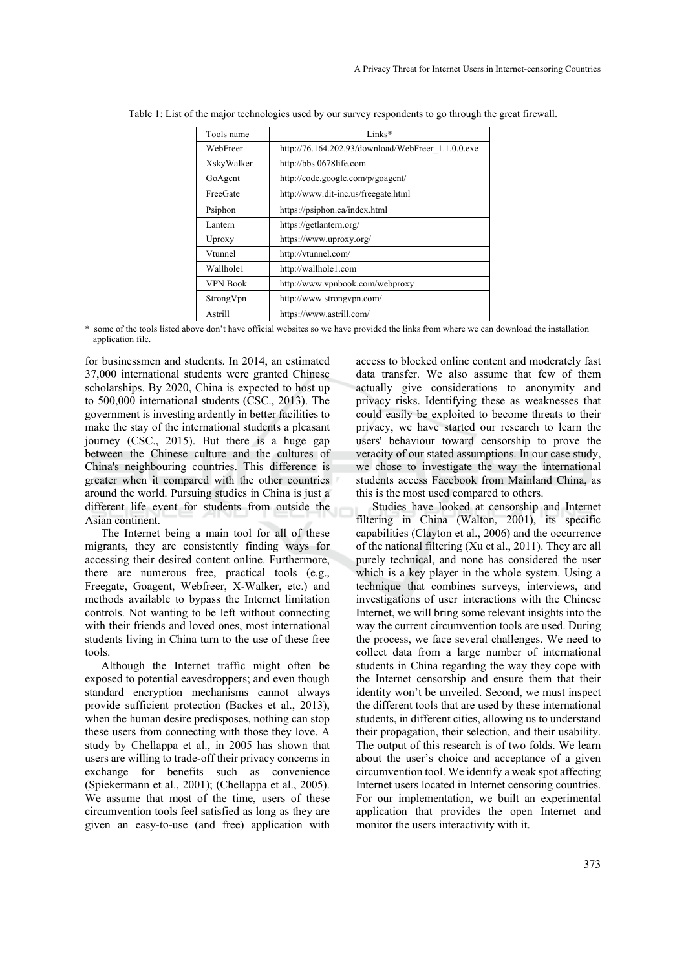| Tools name      | Links*                                             |  |
|-----------------|----------------------------------------------------|--|
| WebFreer        | http://76.164.202.93/download/WebFreer 1.1.0.0.exe |  |
| XskyWalker      | http://bbs.0678life.com                            |  |
| GoAgent         | http://code.google.com/p/goagent/                  |  |
| FreeGate        | http://www.dit-inc.us/freegate.html                |  |
| Psiphon         | https://psiphon.ca/index.html                      |  |
| Lantern         | https://getlantern.org/                            |  |
| Uproxy          | https://www.uproxy.org/                            |  |
| Vtunnel         | http://vtunnel.com/                                |  |
| Wallhole1       | http://wallhole1.com                               |  |
| <b>VPN Book</b> | http://www.vpnbook.com/webproxy                    |  |
| StrongVpn       | http://www.strongvpn.com/                          |  |
| Astrill         | https://www.astrill.com/                           |  |

Table 1: List of the major technologies used by our survey respondents to go through the great firewall.

\* some of the tools listed above don't have official websites so we have provided the links from where we can download the installation application file.

for businessmen and students. In 2014, an estimated 37,000 international students were granted Chinese scholarships. By 2020, China is expected to host up to 500,000 international students (CSC., 2013). The government is investing ardently in better facilities to make the stay of the international students a pleasant journey (CSC., 2015). But there is a huge gap between the Chinese culture and the cultures of China's neighbouring countries. This difference is greater when it compared with the other countries around the world. Pursuing studies in China is just a different life event for students from outside the Asian continent.

The Internet being a main tool for all of these migrants, they are consistently finding ways for accessing their desired content online. Furthermore, there are numerous free, practical tools (e.g., Freegate, Goagent, Webfreer, X-Walker, etc.) and methods available to bypass the Internet limitation controls. Not wanting to be left without connecting with their friends and loved ones, most international students living in China turn to the use of these free tools.

Although the Internet traffic might often be exposed to potential eavesdroppers; and even though standard encryption mechanisms cannot always provide sufficient protection (Backes et al., 2013), when the human desire predisposes, nothing can stop these users from connecting with those they love. A study by Chellappa et al., in 2005 has shown that users are willing to trade-off their privacy concerns in exchange for benefits such as convenience (Spiekermann et al., 2001); (Chellappa et al., 2005). We assume that most of the time, users of these circumvention tools feel satisfied as long as they are given an easy-to-use (and free) application with access to blocked online content and moderately fast data transfer. We also assume that few of them actually give considerations to anonymity and privacy risks. Identifying these as weaknesses that could easily be exploited to become threats to their privacy, we have started our research to learn the users' behaviour toward censorship to prove the veracity of our stated assumptions. In our case study, we chose to investigate the way the international students access Facebook from Mainland China, as this is the most used compared to others.

Studies have looked at censorship and Internet filtering in China (Walton, 2001), its specific capabilities (Clayton et al., 2006) and the occurrence of the national filtering (Xu et al., 2011). They are all purely technical, and none has considered the user which is a key player in the whole system. Using a technique that combines surveys, interviews, and investigations of user interactions with the Chinese Internet, we will bring some relevant insights into the way the current circumvention tools are used. During the process, we face several challenges. We need to collect data from a large number of international students in China regarding the way they cope with the Internet censorship and ensure them that their identity won't be unveiled. Second, we must inspect the different tools that are used by these international students, in different cities, allowing us to understand their propagation, their selection, and their usability. The output of this research is of two folds. We learn about the user's choice and acceptance of a given circumvention tool. We identify a weak spot affecting Internet users located in Internet censoring countries. For our implementation, we built an experimental application that provides the open Internet and monitor the users interactivity with it.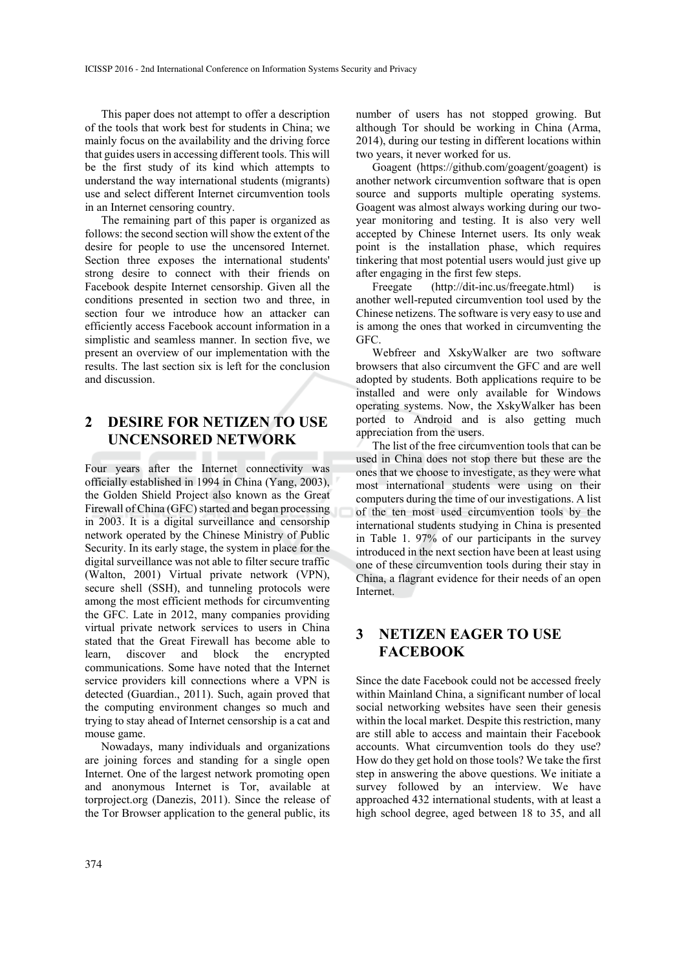This paper does not attempt to offer a description of the tools that work best for students in China; we mainly focus on the availability and the driving force that guides users in accessing different tools. This will be the first study of its kind which attempts to understand the way international students (migrants) use and select different Internet circumvention tools in an Internet censoring country.

The remaining part of this paper is organized as follows: the second section will show the extent of the desire for people to use the uncensored Internet. Section three exposes the international students' strong desire to connect with their friends on Facebook despite Internet censorship. Given all the conditions presented in section two and three, in section four we introduce how an attacker can efficiently access Facebook account information in a simplistic and seamless manner. In section five, we present an overview of our implementation with the results. The last section six is left for the conclusion and discussion.

## **2 DESIRE FOR NETIZEN TO USE UNCENSORED NETWORK**

Four years after the Internet connectivity was officially established in 1994 in China (Yang, 2003), the Golden Shield Project also known as the Great Firewall of China (GFC) started and began processing in 2003. It is a digital surveillance and censorship network operated by the Chinese Ministry of Public Security. In its early stage, the system in place for the digital surveillance was not able to filter secure traffic (Walton, 2001) Virtual private network (VPN), secure shell (SSH), and tunneling protocols were among the most efficient methods for circumventing the GFC. Late in 2012, many companies providing virtual private network services to users in China stated that the Great Firewall has become able to learn, discover and block the encrypted communications. Some have noted that the Internet service providers kill connections where a VPN is detected (Guardian., 2011). Such, again proved that the computing environment changes so much and trying to stay ahead of Internet censorship is a cat and mouse game.

Nowadays, many individuals and organizations are joining forces and standing for a single open Internet. One of the largest network promoting open and anonymous Internet is Tor, available at torproject.org (Danezis, 2011). Since the release of the Tor Browser application to the general public, its number of users has not stopped growing. But although Tor should be working in China (Arma, 2014), during our testing in different locations within two years, it never worked for us.

Goagent (https://github.com/goagent/goagent) is another network circumvention software that is open source and supports multiple operating systems. Goagent was almost always working during our twoyear monitoring and testing. It is also very well accepted by Chinese Internet users. Its only weak point is the installation phase, which requires tinkering that most potential users would just give up after engaging in the first few steps.

Freegate (http://dit-inc.us/freegate.html) is another well-reputed circumvention tool used by the Chinese netizens. The software is very easy to use and is among the ones that worked in circumventing the GFC.

Webfreer and XskyWalker are two software browsers that also circumvent the GFC and are well adopted by students. Both applications require to be installed and were only available for Windows operating systems. Now, the XskyWalker has been ported to Android and is also getting much appreciation from the users.

The list of the free circumvention tools that can be used in China does not stop there but these are the ones that we choose to investigate, as they were what most international students were using on their computers during the time of our investigations. A list of the ten most used circumvention tools by the international students studying in China is presented in Table 1. 97% of our participants in the survey introduced in the next section have been at least using one of these circumvention tools during their stay in China, a flagrant evidence for their needs of an open Internet.

### **3 NETIZEN EAGER TO USE FACEBOOK**

Since the date Facebook could not be accessed freely within Mainland China, a significant number of local social networking websites have seen their genesis within the local market. Despite this restriction, many are still able to access and maintain their Facebook accounts. What circumvention tools do they use? How do they get hold on those tools? We take the first step in answering the above questions. We initiate a survey followed by an interview. We have approached 432 international students, with at least a high school degree, aged between 18 to 35, and all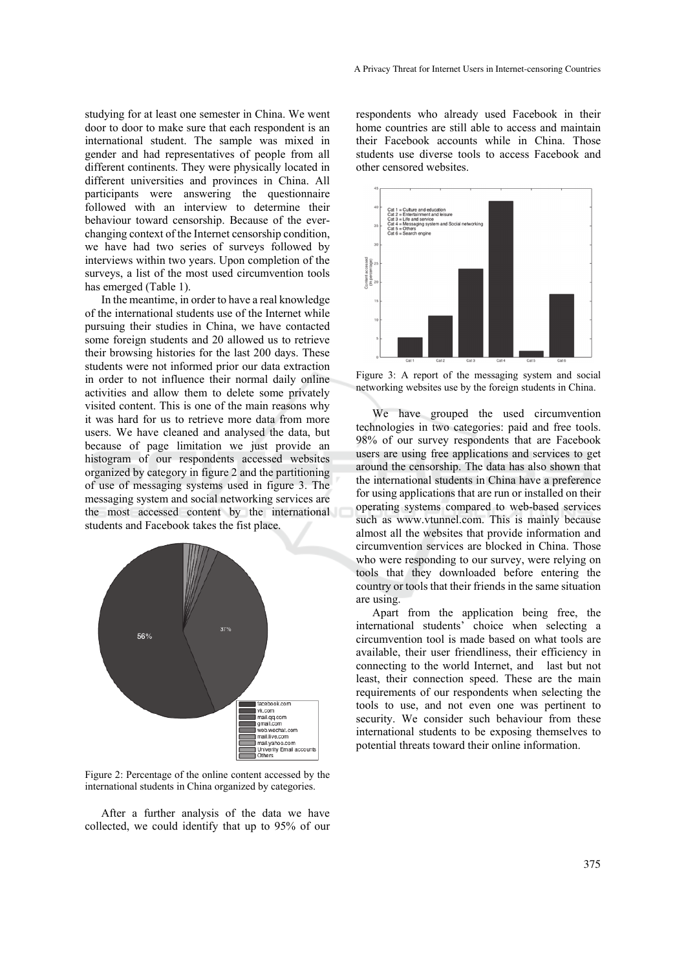studying for at least one semester in China. We went door to door to make sure that each respondent is an international student. The sample was mixed in gender and had representatives of people from all different continents. They were physically located in different universities and provinces in China. All participants were answering the questionnaire followed with an interview to determine their behaviour toward censorship. Because of the everchanging context of the Internet censorship condition, we have had two series of surveys followed by interviews within two years. Upon completion of the surveys, a list of the most used circumvention tools has emerged (Table 1).

In the meantime, in order to have a real knowledge of the international students use of the Internet while pursuing their studies in China, we have contacted some foreign students and 20 allowed us to retrieve their browsing histories for the last 200 days. These students were not informed prior our data extraction in order to not influence their normal daily online activities and allow them to delete some privately visited content. This is one of the main reasons why it was hard for us to retrieve more data from more users. We have cleaned and analysed the data, but because of page limitation we just provide an histogram of our respondents accessed websites organized by category in figure 2 and the partitioning of use of messaging systems used in figure 3. The messaging system and social networking services are the most accessed content by the international students and Facebook takes the fist place.



Figure 2: Percentage of the online content accessed by the international students in China organized by categories.

After a further analysis of the data we have collected, we could identify that up to 95% of our

respondents who already used Facebook in their home countries are still able to access and maintain their Facebook accounts while in China. Those students use diverse tools to access Facebook and other censored websites.



Figure 3: A report of the messaging system and social networking websites use by the foreign students in China.

We have grouped the used circumvention technologies in two categories: paid and free tools. 98% of our survey respondents that are Facebook users are using free applications and services to get around the censorship. The data has also shown that the international students in China have a preference for using applications that are run or installed on their operating systems compared to web-based services such as www.vtunnel.com. This is mainly because almost all the websites that provide information and circumvention services are blocked in China. Those who were responding to our survey, were relying on tools that they downloaded before entering the country or tools that their friends in the same situation are using.

Apart from the application being free, the international students' choice when selecting a circumvention tool is made based on what tools are available, their user friendliness, their efficiency in connecting to the world Internet, and last but not least, their connection speed. These are the main requirements of our respondents when selecting the tools to use, and not even one was pertinent to security. We consider such behaviour from these international students to be exposing themselves to potential threats toward their online information.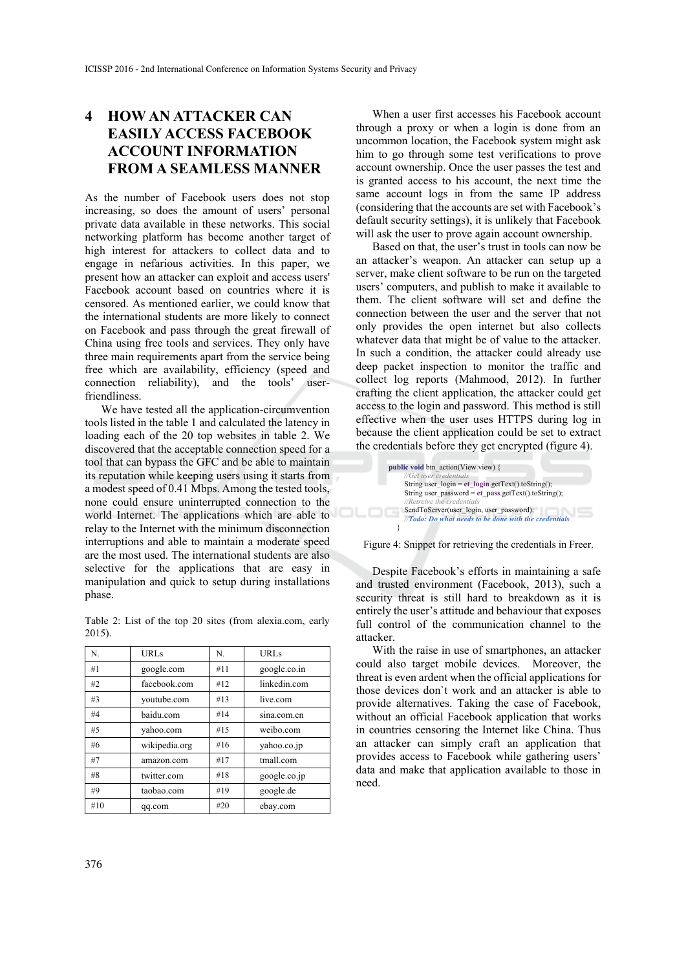# **4 HOW AN ATTACKER CAN EASILY ACCESS FACEBOOK ACCOUNT INFORMATION FROM A SEAMLESS MANNER**

As the number of Facebook users does not stop increasing, so does the amount of users' personal private data available in these networks. This social networking platform has become another target of high interest for attackers to collect data and to engage in nefarious activities. In this paper, we present how an attacker can exploit and access users' Facebook account based on countries where it is censored. As mentioned earlier, we could know that the international students are more likely to connect on Facebook and pass through the great firewall of China using free tools and services. They only have three main requirements apart from the service being free which are availability, efficiency (speed and connection reliability), and the tools' userfriendliness.

We have tested all the application-circumvention tools listed in the table 1 and calculated the latency in loading each of the 20 top websites in table 2. We discovered that the acceptable connection speed for a tool that can bypass the GFC and be able to maintain its reputation while keeping users using it starts from a modest speed of 0.41 Mbps. Among the tested tools, none could ensure uninterrupted connection to the world Internet. The applications which are able to relay to the Internet with the minimum disconnection interruptions and able to maintain a moderate speed are the most used. The international students are also selective for the applications that are easy in manipulation and quick to setup during installations phase.

Table 2: List of the top 20 sites (from alexia.com, early 2015).

| N.  | <b>URLs</b>   | N.  | <b>URLs</b>  |
|-----|---------------|-----|--------------|
| #1  | google.com    | #11 | google.co.in |
| #2  | facebook.com  | #12 | linkedin.com |
| #3  | voutube.com   | #13 | live.com     |
| #4  | baidu.com     | #14 | sina.com.cn  |
| #5  | vahoo.com     | #15 | weibo.com    |
| #6  | wikipedia.org | #16 | yahoo.co.jp  |
| #7  | amazon.com    | #17 | tmall.com    |
| #8  | twitter.com   | #18 | google.co.jp |
| #9  | taobao.com    | #19 | google.de    |
| #10 | qq.com        | #20 | ebay.com     |

When a user first accesses his Facebook account through a proxy or when a login is done from an uncommon location, the Facebook system might ask him to go through some test verifications to prove account ownership. Once the user passes the test and is granted access to his account, the next time the same account logs in from the same IP address (considering that the accounts are set with Facebook's default security settings), it is unlikely that Facebook will ask the user to prove again account ownership.

Based on that, the user's trust in tools can now be an attacker's weapon. An attacker can setup up a server, make client software to be run on the targeted users' computers, and publish to make it available to them. The client software will set and define the connection between the user and the server that not only provides the open internet but also collects whatever data that might be of value to the attacker. In such a condition, the attacker could already use deep packet inspection to monitor the traffic and collect log reports (Mahmood, 2012). In further crafting the client application, the attacker could get access to the login and password. This method is still effective when the user uses HTTPS during log in because the client application could be set to extract the credentials before they get encrypted (figure 4).

| public void btn action(View view) {                   |
|-------------------------------------------------------|
| //Get user credentials                                |
| String user $login = et login.getText() to String();$ |
| String user password = et pass.getText().toString();  |
| //Retreive the credentials                            |
| SendToServer(user login, user password);              |
| //Todo: Do what needs to be done with the credentials |
|                                                       |

Figure 4: Snippet for retrieving the credentials in Freer.

Despite Facebook's efforts in maintaining a safe and trusted environment (Facebook, 2013), such a security threat is still hard to breakdown as it is entirely the user's attitude and behaviour that exposes full control of the communication channel to the attacker.

With the raise in use of smartphones, an attacker could also target mobile devices. Moreover, the threat is even ardent when the official applications for those devices don`t work and an attacker is able to provide alternatives. Taking the case of Facebook, without an official Facebook application that works in countries censoring the Internet like China. Thus an attacker can simply craft an application that provides access to Facebook while gathering users' data and make that application available to those in need.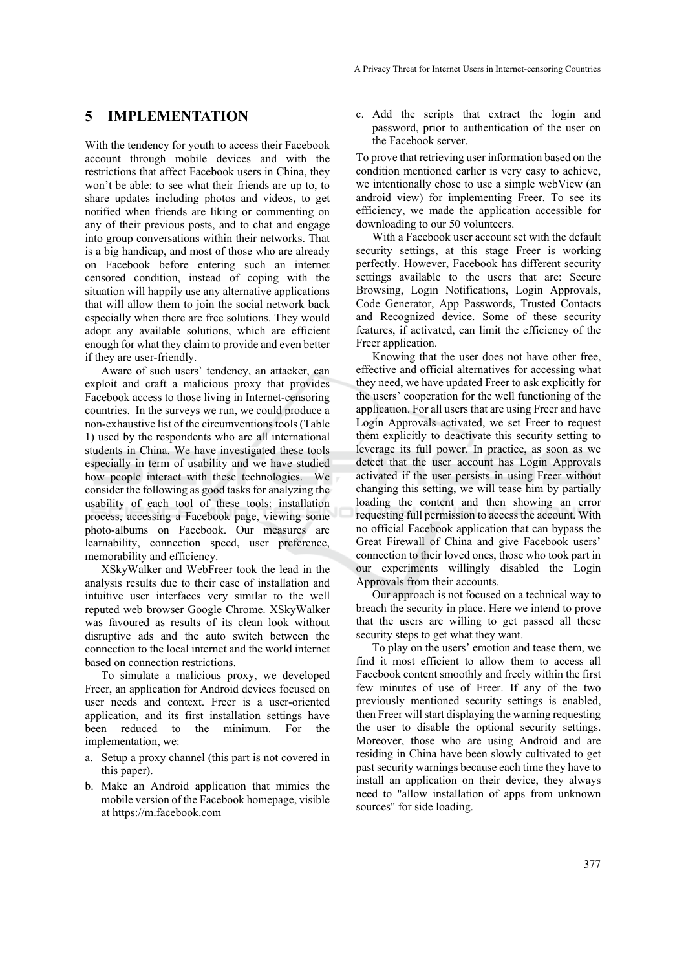#### **5 IMPLEMENTATION**

With the tendency for youth to access their Facebook account through mobile devices and with the restrictions that affect Facebook users in China, they won't be able: to see what their friends are up to, to share updates including photos and videos, to get notified when friends are liking or commenting on any of their previous posts, and to chat and engage into group conversations within their networks. That is a big handicap, and most of those who are already on Facebook before entering such an internet censored condition, instead of coping with the situation will happily use any alternative applications that will allow them to join the social network back especially when there are free solutions. They would adopt any available solutions, which are efficient enough for what they claim to provide and even better if they are user-friendly.

Aware of such users` tendency, an attacker, can exploit and craft a malicious proxy that provides Facebook access to those living in Internet-censoring countries. In the surveys we run, we could produce a non-exhaustive list of the circumventions tools (Table 1) used by the respondents who are all international students in China. We have investigated these tools especially in term of usability and we have studied how people interact with these technologies. We consider the following as good tasks for analyzing the usability of each tool of these tools: installation process, accessing a Facebook page, viewing some photo-albums on Facebook. Our measures are learnability, connection speed, user preference, memorability and efficiency.

XSkyWalker and WebFreer took the lead in the analysis results due to their ease of installation and intuitive user interfaces very similar to the well reputed web browser Google Chrome. XSkyWalker was favoured as results of its clean look without disruptive ads and the auto switch between the connection to the local internet and the world internet based on connection restrictions.

To simulate a malicious proxy, we developed Freer, an application for Android devices focused on user needs and context. Freer is a user-oriented application, and its first installation settings have been reduced to the minimum. For the implementation, we:

- a. Setup a proxy channel (this part is not covered in this paper).
- b. Make an Android application that mimics the mobile version of the Facebook homepage, visible at https://m.facebook.com

c. Add the scripts that extract the login and password, prior to authentication of the user on the Facebook server.

To prove that retrieving user information based on the condition mentioned earlier is very easy to achieve, we intentionally chose to use a simple webView (an android view) for implementing Freer. To see its efficiency, we made the application accessible for downloading to our 50 volunteers.

With a Facebook user account set with the default security settings, at this stage Freer is working perfectly. However, Facebook has different security settings available to the users that are: Secure Browsing, Login Notifications, Login Approvals, Code Generator, App Passwords, Trusted Contacts and Recognized device. Some of these security features, if activated, can limit the efficiency of the Freer application.

Knowing that the user does not have other free, effective and official alternatives for accessing what they need, we have updated Freer to ask explicitly for the users' cooperation for the well functioning of the application. For all users that are using Freer and have Login Approvals activated, we set Freer to request them explicitly to deactivate this security setting to leverage its full power. In practice, as soon as we detect that the user account has Login Approvals activated if the user persists in using Freer without changing this setting, we will tease him by partially loading the content and then showing an error requesting full permission to access the account. With no official Facebook application that can bypass the Great Firewall of China and give Facebook users' connection to their loved ones, those who took part in our experiments willingly disabled the Login Approvals from their accounts.

Our approach is not focused on a technical way to breach the security in place. Here we intend to prove that the users are willing to get passed all these security steps to get what they want.

To play on the users' emotion and tease them, we find it most efficient to allow them to access all Facebook content smoothly and freely within the first few minutes of use of Freer. If any of the two previously mentioned security settings is enabled, then Freer will start displaying the warning requesting the user to disable the optional security settings. Moreover, those who are using Android and are residing in China have been slowly cultivated to get past security warnings because each time they have to install an application on their device, they always need to "allow installation of apps from unknown sources" for side loading.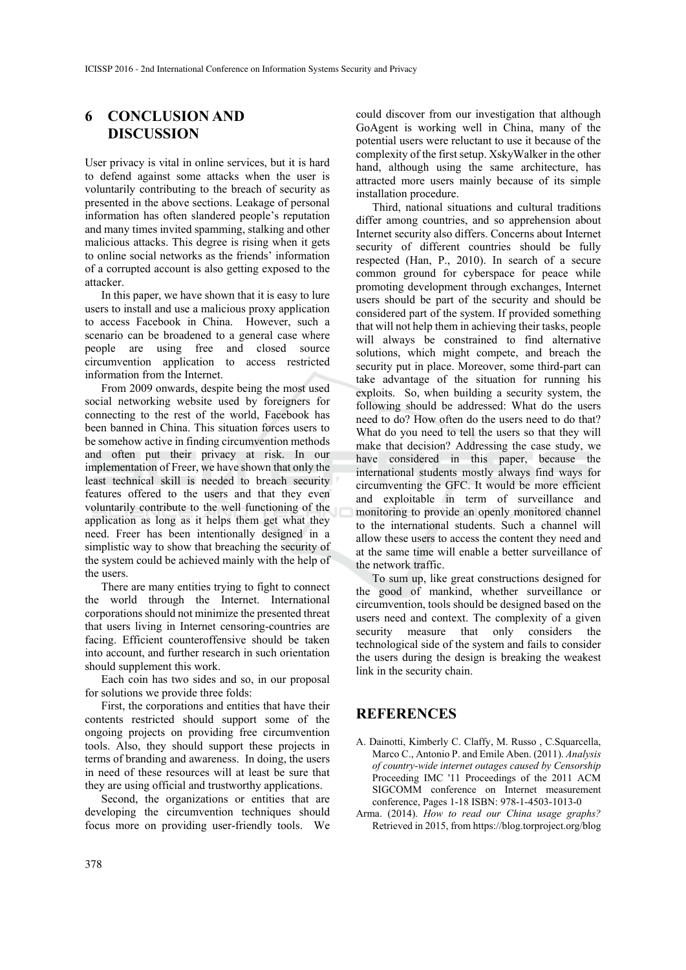### **6 CONCLUSION AND DISCUSSION**

User privacy is vital in online services, but it is hard to defend against some attacks when the user is voluntarily contributing to the breach of security as presented in the above sections. Leakage of personal information has often slandered people's reputation and many times invited spamming, stalking and other malicious attacks. This degree is rising when it gets to online social networks as the friends' information of a corrupted account is also getting exposed to the attacker.

In this paper, we have shown that it is easy to lure users to install and use a malicious proxy application to access Facebook in China. However, such a scenario can be broadened to a general case where people are using free and closed source circumvention application to access restricted information from the Internet.

From 2009 onwards, despite being the most used social networking website used by foreigners for connecting to the rest of the world, Facebook has been banned in China. This situation forces users to be somehow active in finding circumvention methods and often put their privacy at risk. In our implementation of Freer, we have shown that only the least technical skill is needed to breach security features offered to the users and that they even voluntarily contribute to the well functioning of the application as long as it helps them get what they need. Freer has been intentionally designed in a simplistic way to show that breaching the security of the system could be achieved mainly with the help of the users.

There are many entities trying to fight to connect the world through the Internet. International corporations should not minimize the presented threat that users living in Internet censoring-countries are facing. Efficient counteroffensive should be taken into account, and further research in such orientation should supplement this work.

Each coin has two sides and so, in our proposal for solutions we provide three folds:

First, the corporations and entities that have their contents restricted should support some of the ongoing projects on providing free circumvention tools. Also, they should support these projects in terms of branding and awareness. In doing, the users in need of these resources will at least be sure that they are using official and trustworthy applications.

Second, the organizations or entities that are developing the circumvention techniques should focus more on providing user-friendly tools. We

could discover from our investigation that although GoAgent is working well in China, many of the potential users were reluctant to use it because of the complexity of the first setup. XskyWalker in the other hand, although using the same architecture, has attracted more users mainly because of its simple installation procedure.

Third, national situations and cultural traditions differ among countries, and so apprehension about Internet security also differs. Concerns about Internet security of different countries should be fully respected (Han, P., 2010). In search of a secure common ground for cyberspace for peace while promoting development through exchanges, Internet users should be part of the security and should be considered part of the system. If provided something that will not help them in achieving their tasks, people will always be constrained to find alternative solutions, which might compete, and breach the security put in place. Moreover, some third-part can take advantage of the situation for running his exploits. So, when building a security system, the following should be addressed: What do the users need to do? How often do the users need to do that? What do you need to tell the users so that they will make that decision? Addressing the case study, we have considered in this paper, because the international students mostly always find ways for circumventing the GFC. It would be more efficient and exploitable in term of surveillance and monitoring to provide an openly monitored channel to the international students. Such a channel will allow these users to access the content they need and at the same time will enable a better surveillance of the network traffic.

To sum up, like great constructions designed for the good of mankind, whether surveillance or circumvention, tools should be designed based on the users need and context. The complexity of a given security measure that only considers the technological side of the system and fails to consider the users during the design is breaking the weakest link in the security chain.

#### **REFERENCES**

- A. Dainotti, Kimberly C. Claffy, M. Russo , C.Squarcella, Marco C., Antonio P. and Emile Aben. (2011). *Analysis of country-wide internet outages caused by Censorship* Proceeding IMC '11 Proceedings of the 2011 ACM SIGCOMM conference on Internet measurement conference, Pages 1-18 ISBN: 978-1-4503-1013-0
- Arma. (2014). *How to read our China usage graphs?* Retrieved in 2015, from https://blog.torproject.org/blog